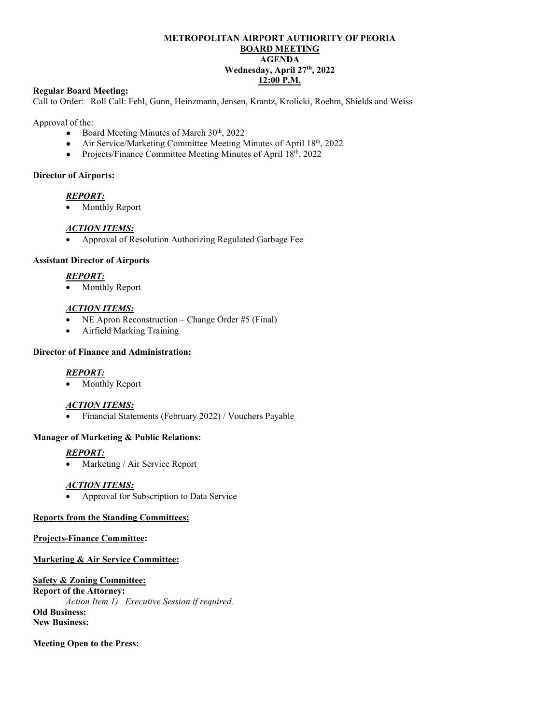# **METROPOLITAN AIRPORT AUTHORITY OF PEORIA BOARD MEETING AGENDA Wednesday, April 27th, 2022 12:00 P.M.**

## **Regular Board Meeting:**

Call to Order: Roll Call: Fehl, Gunn, Heinzmann, Jensen, Krantz, Krolicki, Roehm, Shields and Weiss

Approval of the:

- Board Meeting Minutes of March  $30<sup>th</sup>$ , 2022
- Air Service/Marketing Committee Meeting Minutes of April 18th, 2022
- Projects/Finance Committee Meeting Minutes of April 18th, 2022

## **Director of Airports:**

## *REPORT:*

• Monthly Report

### *ACTION ITEMS:*

• Approval of Resolution Authorizing Regulated Garbage Fee

### **Assistant Director of Airports**

# *REPORT:*

Monthly Report

### *ACTION ITEMS:*

- NE Apron Reconstruction Change Order #5 (Final)
- Airfield Marking Training

## **Director of Finance and Administration:**

## *REPORT:*

Monthly Report

## *ACTION ITEMS:*

• Financial Statements (February 2022) / Vouchers Payable

## **Manager of Marketing & Public Relations:**

# *REPORT:*

Marketing / Air Service Report

## *ACTION ITEMS:*

• Approval for Subscription to Data Service

## **Reports from the Standing Committees:**

## **Projects-Finance Committee:**

#### **Marketing & Air Service Committee:**

#### **Safety & Zoning Committee:**

**Report of the Attorney:**  *Action Item 1) Executive Session if required.* **Old Business: New Business:**

#### **Meeting Open to the Press:**